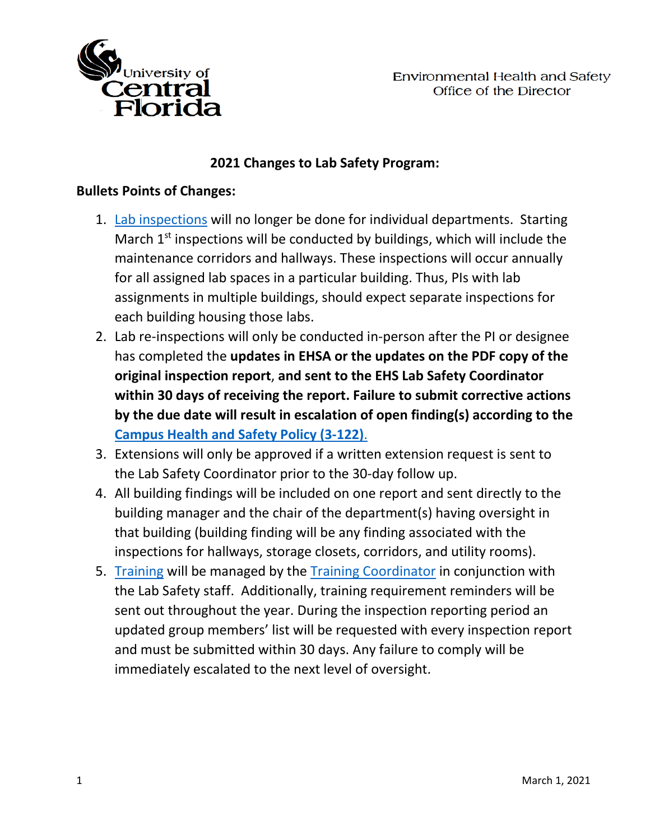

## **2021 Changes to Lab Safety Program:**

## **Bullets Points of Changes:**

- 1. [Lab inspections](https://ehs.ucf.edu/laboratory-safety) will no longer be done for individual departments. Starting March  $1<sup>st</sup>$  inspections will be conducted by buildings, which will include the maintenance corridors and hallways. These inspections will occur annually for all assigned lab spaces in a particular building. Thus, PIs with lab assignments in multiple buildings, should expect separate inspections for each building housing those labs.
- 2. Lab re-inspections will only be conducted in-person after the PI or designee has completed the **updates in EHSA or the updates on the PDF copy of the original inspection report**, **and sent to the EHS Lab Safety Coordinator within 30 days of receiving the report. Failure to submit corrective actions by the due date will result in escalation of open finding(s) according to the [Campus Health and Safety Policy \(3-122\)](https://policies.ucf.edu/documents/3-122.pdf)**.
- 3. Extensions will only be approved if a written extension request is sent to the Lab Safety Coordinator prior to the 30-day follow up.
- 4. All building findings will be included on one report and sent directly to the building manager and the chair of the department(s) having oversight in that building (building finding will be any finding associated with the inspections for hallways, storage closets, corridors, and utility rooms).
- 5. [Training](https://ehs.ucf.edu/training) will be managed by the [Training Coordinator](mailto:Jimmy.stewart@ucf.edu) in conjunction with the Lab Safety staff. Additionally, training requirement reminders will be sent out throughout the year. During the inspection reporting period an updated group members' list will be requested with every inspection report and must be submitted within 30 days. Any failure to comply will be immediately escalated to the next level of oversight.